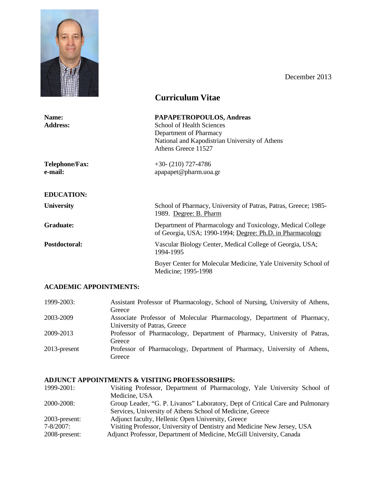

December 2013

|                                  | <b>Curriculum Vitae</b>                                                                                                                                         |  |
|----------------------------------|-----------------------------------------------------------------------------------------------------------------------------------------------------------------|--|
| Name:<br><b>Address:</b>         | PAPAPETROPOULOS, Andreas<br><b>School of Health Sciences</b><br>Department of Pharmacy<br>National and Kapodistrian University of Athens<br>Athens Greece 11527 |  |
| <b>Telephone/Fax:</b><br>e-mail: | $+30-(210)$ 727-4786<br>apapapet@pharm.uoa.gr                                                                                                                   |  |
| <b>EDUCATION:</b>                |                                                                                                                                                                 |  |
| <b>University</b>                | School of Pharmacy, University of Patras, Patras, Greece; 1985-<br>1989. Degree: B. Pharm                                                                       |  |
| Graduate:                        | Department of Pharmacology and Toxicology, Medical College<br>of Georgia, USA; 1990-1994; Degree: Ph.D. in Pharmacology                                         |  |
| Postdoctoral:                    | Vascular Biology Center, Medical College of Georgia, USA;<br>1994-1995                                                                                          |  |
|                                  | Boyer Center for Molecular Medicine, Yale University School of<br>Medicine; 1995-1998                                                                           |  |

# **ACADEMIC APPOINTMENTS:**

| 1999-2003:      | Assistant Professor of Pharmacology, School of Nursing, University of Athens, |
|-----------------|-------------------------------------------------------------------------------|
|                 | Greece                                                                        |
| 2003-2009       | Associate Professor of Molecular Pharmacology, Department of Pharmacy,        |
|                 | University of Patras, Greece                                                  |
| 2009-2013       | Professor of Pharmacology, Department of Pharmacy, University of Patras,      |
|                 | Greece                                                                        |
| $2013$ -present | Professor of Pharmacology, Department of Pharmacy, University of Athens,      |
|                 | Greece                                                                        |

# **ADJUNCT APPOINTMENTS & VISITING PROFESSORSHIPS:**

| Visiting Professor, Department of Pharmacology, Yale University School of     |
|-------------------------------------------------------------------------------|
|                                                                               |
| Group Leader, "G. P. Livanos" Laboratory, Dept of Critical Care and Pulmonary |
|                                                                               |
|                                                                               |
| Visiting Professor, University of Dentistry and Medicine New Jersey, USA      |
|                                                                               |
|                                                                               |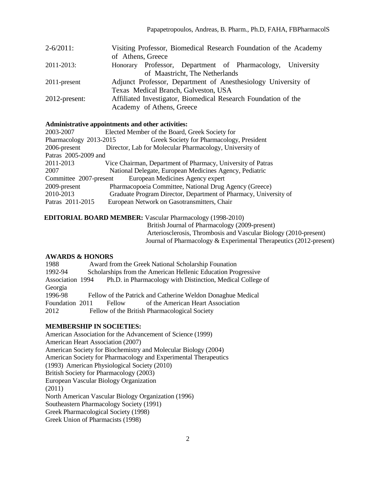| $2 - 6/2011$ :   | Visiting Professor, Biomedical Research Foundation of the Academy |  |  |  |  |  |
|------------------|-------------------------------------------------------------------|--|--|--|--|--|
|                  | of Athens, Greece                                                 |  |  |  |  |  |
| 2011-2013:       | Honorary Professor, Department of Pharmacology, University        |  |  |  |  |  |
|                  | of Maastricht, The Netherlands                                    |  |  |  |  |  |
| 2011-present     | Adjunct Professor, Department of Anesthesiology University of     |  |  |  |  |  |
|                  | Texas Medical Branch, Galveston, USA                              |  |  |  |  |  |
| $2012$ -present: | Affiliated Investigator, Biomedical Research Foundation of the    |  |  |  |  |  |
|                  | Academy of Athens, Greece                                         |  |  |  |  |  |

#### **Administrative appointments and other activities:**

| 2003-2007              | Elected Member of the Board, Greek Society for                   |  |  |  |
|------------------------|------------------------------------------------------------------|--|--|--|
| Pharmacology 2013-2015 | Greek Society for Pharmacology, President                        |  |  |  |
| 2006-present           | Director, Lab for Molecular Pharmacology, University of          |  |  |  |
| Patras 2005-2009 and   |                                                                  |  |  |  |
| 2011-2013              | Vice Chairman, Department of Pharmacy, University of Patras      |  |  |  |
| 2007                   | National Delegate, European Medicines Agency, Pediatric          |  |  |  |
| Committee 2007-present | European Medicines Agency expert                                 |  |  |  |
| 2009-present           | Pharmacopoeia Committee, National Drug Agency (Greece)           |  |  |  |
| 2010-2013              | Graduate Program Director, Department of Pharmacy, University of |  |  |  |
| Patras 2011-2015       | European Network on Gasotransmitters, Chair                      |  |  |  |
|                        |                                                                  |  |  |  |

**EDITORIAL BOARD MEMBER:** Vascular Pharmacology (1998-2010)

British Journal of Pharmacology (2009-present) Arteriosclerosis, Thrombosis and Vascular Biology (2010-present) Journal of Pharmacology & Experimental Therapeutics (2012-present)

#### **AWARDS & HONORS**

| 1988            | Award from the Greek National Scholarship Founation           |        |                                                                             |  |  |
|-----------------|---------------------------------------------------------------|--------|-----------------------------------------------------------------------------|--|--|
| 1992-94         | Scholarships from the American Hellenic Education Progressive |        |                                                                             |  |  |
|                 |                                                               |        | Association 1994 Ph.D. in Pharmacology with Distinction, Medical College of |  |  |
| Georgia         |                                                               |        |                                                                             |  |  |
| 1996-98         |                                                               |        | Fellow of the Patrick and Catherine Weldon Donaghue Medical                 |  |  |
| Foundation 2011 |                                                               | Fellow | of the American Heart Association                                           |  |  |
| 2012            |                                                               |        | Fellow of the British Pharmacological Society                               |  |  |

#### **MEMBERSHIP IN SOCIETIES:**

American Association for the Advancement of Science (1999) American Heart Association (2007) American Society for Biochemistry and Molecular Biology (2004) American Society for Pharmacology and Experimental Therapeutics (1993) American Physiological Society (2010) British Society for Pharmacology (2003) European Vascular Biology Organization (2011) North American Vascular Biology Organization (1996) Southeastern Pharmacology Society (1991) Greek Pharmacological Society (1998) Greek Union of Pharmacists (1998)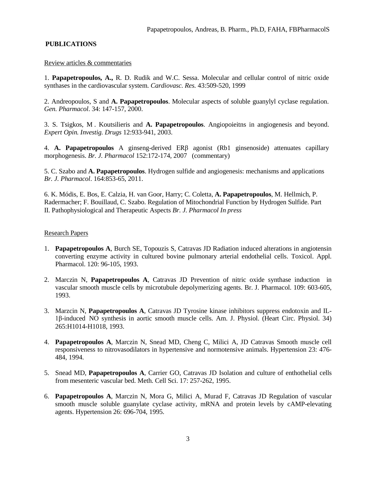## **PUBLICATIONS**

#### Review articles & commentaries

1. **Papapetropoulos, A.,** R. D. Rudik and W.C. Sessa. Molecular and cellular control of nitric oxide synthases in the cardiovascular system. *Cardiovasc. Res.* 43:509-520, 1999

2. Andreopoulos, S and **A. Papapetropoulos**. Molecular aspects of soluble guanylyl cyclase regulation. *Gen. Pharmacol*. 34: 147-157, 2000.

3. S. Tsigkos, M . Koutsilieris and **A. Papapetropoulos**. Angiopoieitns in angiogenesis and beyond. *Expert Opin. Investig. Drugs* 12:933-941, 2003.

4. **A. Papapetropoulos** A ginseng-derived ERβ agonist (Rb1 ginsenoside) attenuates capillary morphogenesis. *Br. J. Pharmacol* 152:172-174, 2007 (commentary)

5. C. Szabo and **A. Papapetropoulos**. Hydrogen sulfide and angiogenesis: mechanisms and applications *Br. J. Pharmacol*. 164:853-65, 2011.

6. K. Módis, E. Bos, E. Calzia, H. van Goor, Harry; C. Coletta, **A. Papapetropoulos**, M. Hellmich, P. Radermacher; F. Bouillaud, C. Szabo. Regulation of Mitochondrial Function by Hydrogen Sulfide. Part II. Pathophysiological and Therapeutic Aspects *Br. J. Pharmacol In press*

### Research Papers

- 1. **Papapetropoulos A**, Burch SE, Topouzis S, Catravas JD Radiation induced alterations in angiotensin converting enzyme activity in cultured bovine pulmonary arterial endothelial cells. Toxicol. Appl. Pharmacol. 120: 96-105, 1993.
- 2. Marczin N, **Papapetropoulos A**, Catravas JD Prevention of nitric oxide synthase induction in vascular smooth muscle cells by microtubule depolymerizing agents. Br. J. Pharmacol. 109: 603-605, 1993.
- 3. Marzcin N, **Papapetropoulos A**, Catravas JD Tyrosine kinase inhibitors suppress endotoxin and IL-1β-induced NO synthesis in aortic smooth muscle cells. Am. J. Physiol. (Heart Circ. Physiol. 34) 265:H1014-H1018, 1993.
- 4. **Papapetropoulos A**, Marczin N, Snead MD, Cheng C, Milici A, JD Catravas Smooth muscle cell responsiveness to nitrovasodilators in hypertensive and normotensive animals. Hypertension 23: 476- 484, 1994.
- 5. Snead MD, **Papapetropoulos A**, Carrier GO, Catravas JD Isolation and culture of enthothelial cells from mesenteric vascular bed. Meth. Cell Sci. 17: 257-262, 1995.
- 6. **Papapetropoulos A**, Marczin N, Mora G, Milici A, Murad F, Catravas JD Regulation of vascular smooth muscle soluble guanylate cyclase activity, mRNA and protein levels by cAMP-elevating agents. Hypertension 26: 696-704, 1995.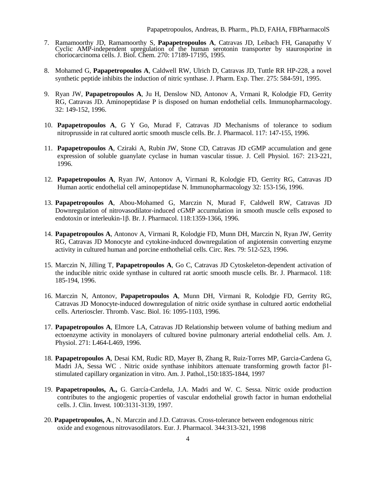- 7. Ramamoorthy JD, Ramamoorthy S, **Papapetropoulos A**, Catravas JD, Leibach FH, Ganapathy V Cyclic AMP-independent upregulation of the human serotonin transporter by staurosporine in choriocarcinoma cells. J. Biol. Chem. 270: 17189-17195, 1995.
- 8. Mohamed G, **Papapetropoulos A**, Caldwell RW, Ulrich D, Catravas JD, Tuttle RR HP-228, a novel synthetic peptide inhibits the induction of nitric synthase. J. Pharm. Exp. Ther. 275: 584-591, 1995.
- 9. Ryan JW, **Papapetropoulos A**, Ju H, Denslow ND, Antonov A, Vrmani R, Kolodgie FD, Gerrity RG, Catravas JD. Aminopeptidase P is disposed on human endothelial cells. Immunopharmacology. 32: 149-152, 1996.
- 10. **Papapetropoulos A**, G Y Go, Murad F, Catravas JD Mechanisms of tolerance to sodium nitroprusside in rat cultured aortic smooth muscle cells. Br. J. Pharmacol. 117: 147-155, 1996.
- 11. **Papapetropoulos A**, Cziraki A, Rubin JW, Stone CD, Catravas JD cGMP accumulation and gene expression of soluble guanylate cyclase in human vascular tissue. J. Cell Physiol. 167: 213-221, 1996.
- 12. **Papapetropoulos A**, Ryan JW, Antonov A, Virmani R, Kolodgie FD, Gerrity RG, Catravas JD Human aortic endothelial cell aminopeptidase N. Immunopharmacology 32: 153-156, 1996.
- 13. **Papapetropoulos A**, Abou-Mohamed G, Marczin N, Murad F, Caldwell RW, Catravas JD Downregulation of nitrovasodilator-induced cGMP accumulation in smooth muscle cells exposed to endotoxin or interleukin-1β. Br. J. Pharmacol. 118:1359-1366, 1996.
- 14. **Papapetropoulos A**, Antonov A, Virmani R, Kolodgie FD, Munn DH, Marczin N, Ryan JW, Gerrity RG, Catravas JD Monocyte and cytokine-induced downregulation of angiotensin converting enzyme activity in cultured human and porcine enthothelial cells. Circ. Res. 79: 512-523, 1996.
- 15. Marczin N, Jilling T, **Papapetropoulos A**, Go C, Catravas JD Cytoskeleton-dependent activation of the inducible nitric oxide synthase in cultured rat aortic smooth muscle cells. Br. J. Pharmacol. 118: 185-194, 1996.
- 16. Marczin N, Antonov, **Papapetropoulos A**, Munn DH, Virmani R, Kolodgie FD, Gerrity RG, Catravas JD Monocyte-induced downregulation of nitric oxide synthase in cultured aortic endothelial cells. Arterioscler. Thromb. Vasc. Biol. 16: 1095-1103, 1996.
- 17. **Papapetropoulos A**, Elmore LA, Catravas JD Relationship between volume of bathing medium and ectoenzyme activity in monolayers of cultured bovine pulmonary arterial endothelial cells. Am. J. Physiol. 271: L464-L469, 1996.
- 18. **Papapetropoulos A**, Desai KM, Rudic RD, Mayer B, Zhang R, Ruiz-Torres MP, Garcia-Cardena G, Madri JA, Sessa WC. Nitric oxide synthase inhibitors attenuate transforming growth factor  $\beta$ 1stimulated capillary organization in vitro. Am. J. Pathol.,150:1835-1844, 1997
- 19. **Papapetropoulos, A.,** G. García-Cardeña, J.A. Madri and W. C. Sessa. Nitric oxide production contributes to the angiogenic properties of vascular endothelial growth factor in human endothelial cells. J. Clin. Invest*.* 100:3131-3139, 1997.
- 20. **Papapetropoulos, A**., N. Marczin and J.D. Catravas. Cross-tolerance between endogenous nitric oxide and exogenous nitrovasodilators. Eur. J. Pharmacol. 344:313-321, 1998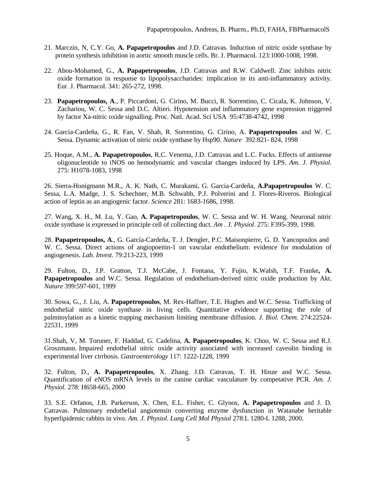- 21. Marczin, N, C.Y. Go, **A. Papapetropoulos** and J.D. Catravas. Induction of nitric oxide synthase by protein synthesis inhibition in aortic smooth muscle cells. Br. J. Pharmacol*.* 123:1000-1008, 1998.
- 22. Abou-Mohamed, G., **A. Papapetropoulos**, J.D. Catravas and R.W. Caldwell. Zinc inhibits nitric oxide formation in response to lipopolysaccharides: implication in its anti-inflammatory activity. Eur. J. Pharmacol*.* 341: 265-272, 1998.
- 23. **Papapetropoulos, A**., P. Piccardoni, G. Cirino, M. Bucci, R. Sorrentino, C. Cicala, K. Johnson, V. Zachariou, W. C. Sessa and D.C. Altieri. Hypotension and inflammatory gene expression triggered by factor Xa-nitric oxide signalling. Proc. Natl. Acad. Sci USA 95:4738-4742, 1998
- 24. García-Cardeña, G., R. Fan, V. Shah, R. Sorrentino, G. Cirino, A. **Papapetropoulos** and W. C. Sessa. Dynamic activation of nitric oxide synthase by Hsp90. *Nature* 392:821- 824, 1998
- 25. Hoque, A.M., **A. Papapetropoulos**, R.C. Venema, J.D. Catravas and L.C. Fucks. Effects of antisense oligonucleotide to iNOS on hemodynamic and vascular changes induced by LPS. *Am. J. Physiol*. 275: H1078-1083, 1998

26. Sierra-Honigmann M.R., A. K. Nath, C. Murakami, G. Garcia-Cardeña, **A.Papapetropoulos** W. C. Sessa, L.A. Madge, J. S. Schechner, M.B. Schwabb, P.J. Polverini and J. Flores-Riveros. Biological action of leptin as an angiogenic factor. *Science* 281: 1683-1686, 1998.

27. Wang, X. H., M. Lu, Y. Gao, **A. Papapetropoulos**, W. C. Sessa and W. H. Wang. Neuronal nitric oxide synthase is expressed in principle cell of collecting duct. *Am . J. Physiol*. 275: F395-399, 1998.

28. **Papapetropoulos, A**., G. García-Cardeña, T. J. Dengler, P.C. Maisonpierre, G. D. Yancopoulos and W. C. Sessa. Direct actions of angiopoeitin-1 on vascular endothelium: evidence for modulation of angiogenesis. *Lab. Invest*. 79:213-223, 1999

29. Fulton, D., J.P. Gratton, T.J. McCabe, J. Fontana, Y. Fujio, K.Walsh, T.F. Franke**, A. Papapetropoulos** and W.C. Sessa. Regulation of endothelium-derived nitric oxide production by Akt. *Nature* 399:597-601, 1999

30. Sowa, G., J. Liu, A. **Papapetropoulos**, M. Rex-Haffner, T.E. Hughes and W.C. Sessa. Trafficking of endothelial nitric oxide synthase in living cells. Quantitative evidence supporting the role of palmitoylation as a kinetic trapping mechanism limiting membrane diffusion*. J. Biol. Chem.* 274:22524- 22531, 1999

31.Shah, V, M. Toruner, F. Haddad, G. Cadelina, **A. Papapetropoulos**, K. Choo, W. C. Sessa and R.J. Groszmann. Impaired endothelial nitric oxide activity associated with increased caveolin binding in experimental liver cirrhosis. *Gastroenterology* 117: 1222-1228, 1999

32. Fulton, D., **A. Papapetropoulos**, X. Zhang. J.D. Catravas, T. H. Hinze and W.C. Sessa. Quantification of eNOS mRNA levels in the canine cardiac vasculature by competative PCR. *Am. J. Physiol.* 278: H658-665, 2000

33. S.E. Orfanos, J.B. Parkerson, X. Chen, E.L. Fisher, C. Glynos, **A. Papapetropoulos** and J. D. Catravas. Pulmonary endothelial angiotensin converting enzyme dysfunction in Watanabe heritable hyperlipidemic rabbits in vivo. *Am. J. Physiol*. *Lung Cell Mol Physiol* 278:L 1280-L 1288, 2000.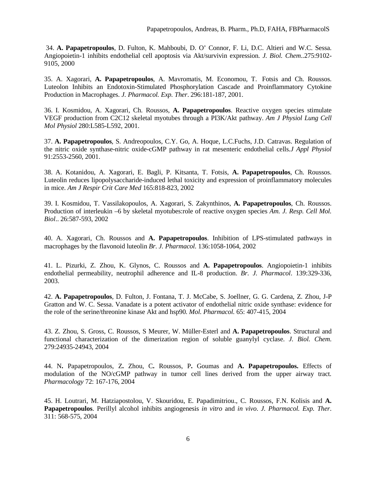34. **A. Papapetropoulos**, D. Fulton, K. Mahboubi, D. O' Connor, F. Li, D.C. Altieri and W.C. Sessa. Angiopoietin-1 inhibits endothelial cell apoptosis via Akt/survivin expression. *J. Biol. Chem*..275:9102- 9105, 2000

35. A. Xagorari, **A. Papapetropoulos**, A. Mavromatis, M. Economou, T. Fotsis and Ch. Roussos. Luteolon Inhibits an Endotoxin-Stimulated Phosphorylation Cascade and Proinflammatory Cytokine Production in Macrophages. *J. Pharmacol. Exp. Ther*. 296:181-187, 2001.

36. I. Kosmidou, A. Xagorari, Ch. Roussos, **A. Papapetropoulos**. Reactive oxygen species stimulate VEGF production from C2C12 skeletal myotubes through a PI3K/Akt pathway. *Am J Physiol Lung Cell Mol Physiol* 280:L585-L592, 2001.

37. **A. Papapetropoulos**, S. Andreopoulos, C.Y. Go, A. Hoque, L.C.Fuchs, J.D. Catravas. Regulation of the nitric oxide synthase-nitric oxide-cGMP pathway in rat mesenteric endothelial cells*.J Appl Physiol* 91:2553-2560, 2001.

38. A. Kotanidou, A. Xagorari, E. Bagli, P. Kitsanta, T. Fotsis, **A. Papapetropoulos**, Ch. Roussos. Luteolin reduces lipopolysaccharide-induced lethal toxicity and expression of proinflammatory molecules in mice. *Am J Respir Crit Care Med* 165:818-823, 2002

39. I. Kosmidou, T. Vassilakopoulos, A. Xagorari, S. Zakynthinos, **A. Papapetropoulos**, Ch. Roussos. Production of interleukin –6 by skeletal myotubes:role of reactive oxygen species *Am. J. Resp. Cell Mol. Biol*.. 26:587-593, 2002

40. A. Xagorari, Ch. Roussos and **A. Papapetropoulos**. Inhibition of LPS-stimulated pathways in macrophages by the flavonoid luteolin *Br. J. Pharmacol.* 136:1058-1064, 2002

41. L. Pizurki, Z. Zhou, K. Glynos, C. Roussos and **A. Papapetropoulos**. Angiopoietin-1 inhibits endothelial permeability, neutrophil adherence and IL-8 production. *Br. J. Pharmacol*. 139:329-336, 2003.

42. **A. Papapetropoulos**, D. Fulton, J. Fontana, T. J. McCabe, S. Joellner, G. G. Cardena, Z. Zhou, J-P Gratton and W. C. Sessa. Vanadate is a potent activator of endothelial nitric oxide synthase: evidence for the role of the serine/threonine kinase Akt and hsp90*. Mol. Pharmacol.* 65: 407-415, 2004

43. Z. Zhou, S. Gross, C. Roussos, S Meurer, W. Müller-Esterl and **A. Papapetropoulos**. Structural and functional characterization of the dimerization region of soluble guanylyl cyclase. *J. Biol. Chem*. 279:24935-24943, 2004

44. N**.** Papapetropoulos, Z**.** Zhou, C**.** Roussos, P**.** Goumas and **A. Papapetropoulos.** Effects of modulation of the NO/cGMP pathway in tumor cell lines derived from the upper airway tract*. Pharmacology* 72: 167-176, 2004

45. H. Loutrari, M. Hatziapostolou, V. Skouridou, E. Papadimitriou., C. Roussos, F.N. Kolisis and **A. Papapetropoulos**. Perillyl alcohol inhibits angiogenesis *in vitro* and *in vivo*. *J. Pharmacol. Exp. Ther*. 311: 568-575, 2004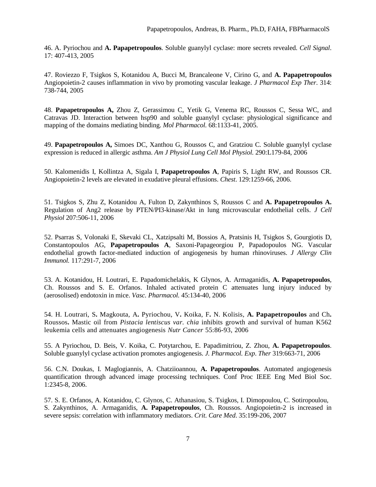46. A. Pyriochou and **A. Papapetropoulos**. Soluble guanylyl cyclase: more secrets revealed. *Cell Signal*. 17: 407-413, 2005

47. Roviezzo F, Tsigkos S, Kotanidou A, Bucci M, Brancaleone V, Cirino G, and **A. Papapetropoulos** Angiopoietin-2 causes inflammation in vivo by promoting vascular leakage. *J Pharmacol Exp Ther*. 314: 738-744, 2005

48. **Papapetropoulos A,** Zhou Z, Gerassimou C, Yetik G, Venema RC, Roussos C, Sessa WC, and Catravas JD. Interaction between hsp90 and soluble guanylyl cyclase: physiological significance and mapping of the domains mediating binding. *Mol Pharmacol.* 68:1133-41, 2005.

49. **Papapetropoulos A,** Simoes DC, Xanthou G, Roussos C, and Gratziou C. Soluble guanylyl cyclase expression is reduced in allergic asthma. *Am J Physiol Lung Cell Mol Physiol.* 290:L179-84, 2006

50. Kalomenidis I, Kollintza A, Sigala I, **Papapetropoulos A**, Papiris S, Light RW, and Roussos CR. Angiopoietin-2 levels are elevated in exudative pleural effusions. *Chest*. 129:1259-66, 2006.

51. Tsigkos S, Zhu Z, Kotanidou A, Fulton D, Zakynthinos S, Roussos C and **A. Papapetropoulos A.** Regulation of Ang2 release by PTEN/PI3-kinase/Akt in lung microvascular endothelial cells. *J Cell Physiol* 207:506-11, 2006

52. Psarras S, Volonaki E, Skevaki CL, Xatzipsalti M, Bossios A, Pratsinis H, Tsigkos S, Gourgiotis D, Constantopoulos AG, **Papapetropoulos A**, Saxoni-Papageorgiou P, Papadopoulos NG. Vascular endothelial growth factor-mediated induction of angiogenesis by human rhinoviruses. *J Allergy Clin Immunol.* 117:291-7, 2006

53. A. Kotanidou, H. Loutrari, E. Papadomichelakis, K Glynos, A. Armaganidis, **A. Papapetropoulos**, Ch. Roussos and S. E. Orfanos. Inhaled activated protein C attenuates lung injury induced by (aerosolised) endotoxin in mice. *Vasc. Pharmacol.* 45:134-40, 2006

54. H. Loutrari, S**.** Magkouta, A**.** Pyriochou, V**.** Koika, F**.** N. Kolisis, **A. Papapetropoulos** and Ch**.** Roussos**.** Mastic oil from *Pistacia lentiscus var. chia* inhibits growth and survival of human K562 leukemia cells and attenuates angiogenesis *Nutr Cancer* 55:86-93, 2006

55. A Pyriochou, D. Beis, V. Koika, C. Potytarchou, E. Papadimitriou, Z. Zhou, **A. Papapetropoulos**. Soluble guanylyl cyclase activation promotes angiogenesis. *J. Pharmacol. Exp*. *Ther* 319:663-71, 2006

56. C.N. Doukas, I. Maglogiannis, A. Chatziioannou, **A. Papapetropoulos**. Automated angiogenesis quantification through advanced image processing techniques. Conf Proc IEEE Eng Med Biol Soc. 1:2345-8, 2006.

57. S. E. Orfanos, A. Kotanidou, C. Glynos, C. Athanasiou, S. Tsigkos, I. Dimopoulou, C. Sotiropoulou, S. Zakynthinos, A. Armaganidis, **A. Papapetropoulos**, Ch. Roussos. Angiopoietin-2 is increased in severe sepsis: correlation with inflammatory mediators. *Crit. Care Med*. 35:199-206, 2007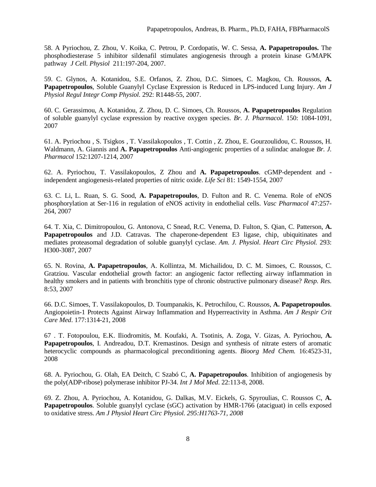58. A Pyriochou, Z. Zhou, V. Koika, C. Petrou, P. Cordopatis, W. C. Sessa, **A. Papapetropoulos.** The phosphodiesterase 5 inhibitor sildenafil stimulates angiogenesis through a protein kinase G/MAPK pathway *J Cell. Physiol* 211:197-204, 2007.

59. C. Glynos, A. Kotanidou, S.E. Orfanos, Z. Zhou, D.C. Simoes, C. Magkou, Ch. Roussos, **A. Papapetropoulos**, Soluble Guanylyl Cyclase Expression is Reduced in LPS-induced Lung Injury. *Am J Physiol Regul Integr Comp Physiol.* 292: R1448-55, 2007.

60. C. Gerassimou, A. Kotanidou, Z. Zhou, D. C. Simoes, Ch. Roussos, **A. Papapetropoulos** Regulation of soluble guanylyl cyclase expression by reactive oxygen species. *Br. J. Pharmacol*. 150: 1084-1091, 2007

61. A. Pyriochou , S. Tsigkos , T. Vassilakopoulos , T. Cottin , Z. Zhou, E. Gourzoulidou, C. Roussos, H. Waldmann, A. Giannis and **A. Papapetropoulos** Anti-angiogenic properties of a sulindac analogue *Br. J. Pharmacol* 152:1207-1214, 2007

62. A. Pyriochou, T. Vassilakopoulos, Z Zhou and **A. Papapetropoulos**. cGMP-dependent and independent angiogenesis-related properties of nitric oxide. *Life Sci* 81: 1549-1554, 2007

63. C. Li, L. Ruan, S. G. Sood, **A. Papapetropoulos**, D. Fulton and R. C. Venema. Role of eNOS phosphorylation at Ser-116 in regulation of eNOS activity in endothelial cells. *Vasc Pharmacol* 47:257- 264, 2007

64. T. Xia, C. Dimitropoulou, G. Antonova, C Snead, R.C. Venema, D. Fulton, S. Qian, C. Patterson, **A. Papapetropoulos** and J.D. Catravas. The chaperone-dependent E3 ligase, chip, ubiquitinates and mediates proteasomal degradation of soluble guanylyl cyclase. *Am. J. Physiol. Heart Circ Physiol.* 293: H300-3087, 2007

65. N. Rovina, **A. Papapetropoulos**, A. Kollintza, M. Michailidou, D. C. M. Simoes, C. Roussos, C. Gratziou. Vascular endothelial growth factor: an angiogenic factor reflecting airway inflammation in healthy smokers and in patients with bronchitis type of chronic obstructive pulmonary disease? *Resp. Res.* 8:53, 2007

66. D.C. Simoes, T. Vassilakopoulos, D. Toumpanakis, K. Petrochilou, C. Roussos, **A. Papapetropoulos**. Angiopoietin-1 Protects Against Airway Inflammation and Hyperreactivity in Asthma. *Am J Respir Crit Care Med*. 177:1314-21, 2008

67 . T. Fotopoulou, E.K. Iliodromitis, M. Koufaki, A. Tsotinis, A. Zoga, V. Gizas, A. Pyriochou, **A. Papapetropoulos**, I. Andreadou, D.T. Kremastinos. Design and synthesis of nitrate esters of aromatic heterocyclic compounds as pharmacological preconditioning agents. *Bioorg Med Chem.* 16:4523-31, 2008

68. A. Pyriochou, G. Olah, EA Deitch, C Szabó C, **A. Papapetropoulos**. Inhibition of angiogenesis by the poly(ADP-ribose) polymerase inhibitor PJ-34. *Int J Mol Med*. 22:113-8, 2008.

69. Z. Zhou, A. Pyriochou, A. Kotanidou, G. Dalkas, M.V. Eickels, G. Spyroulias, C. Roussos C, **A. Papapetropoulos**. Soluble guanylyl cyclase (sGC) activation by HMR-1766 (ataciguat) in cells exposed to oxidative stress. *Am J Physiol Heart Circ Physiol. 295:H1763-71, 2008*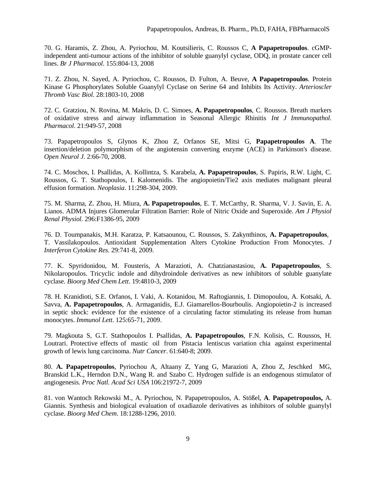70. G. Haramis, Z. Zhou, A. Pyriochou, M. Koutsilieris, C. Roussos C, **A Papapetropoulos**. cGMPindependent anti-tumour actions of the inhibitor of soluble guanylyl cyclase, ODQ, in prostate cancer cell lines. *Br J Pharmacol*. 155:804-13, 2008

71. Z. Zhou, N. Sayed, A. Pyriochou, C. Roussos, D. Fulton, A. Beuve, **A Papapetropoulos**. Protein Kinase G Phosphorylates Soluble Guanylyl Cyclase on Serine 64 and Inhibits Its Activity. *Arterioscler Thromb Vasc Biol.* 28:1803-10, 2008

72. C. Gratziou, N. Rovina, M. Makris, D. C. Simoes, **A. Papapetropoulos**, C. Roussos. Breath markers of oxidative stress and airway inflammation in Seasonal Allergic Rhinitis *Int J Immunopathol. Pharmacol*. 21:949-57, 2008

73. Papapetropoulos S, Glynos K, Zhou Z, Orfanos SE, Mitsi G, **Papapetropoulos A**. The insertion/deletion polymorphism of the angiotensin converting enzyme (ACE) in Parkinson's disease. *Open Neurol J.* 2:66-70, 2008.

74. C. Moschos, I. Psallidas, A. Kollintza, S. Karabela, **A. Papapetropoulos**, S. Papiris, R.W. Light, C. Roussos, G. T. Stathopoulos, I. Kalomenidis. The angiopoietin/Tie2 axis mediates malignant pleural effusion formation. *Neoplasia*. 11:298-304, 2009.

75. M. Sharma, Z. Zhou, H. Miura, **A. Papapetropoulos**, E. T. McCarthy, R. Sharma, V. J. Savin, E. A. Lianos. ADMA Injures Glomerular Filtration Barrier: Role of Nitric Oxide and Superoxide. *Am J Physiol Renal Physiol.* 296:F1386-95, 2009

76. D. Toumpanakis, M.H. Karatza, P. Katsaounou, C. Roussos, S. Zakynthinos, **A. Papapetropoulos**, T. Vassilakopoulos. Antioxidant Supplementation Alters Cytokine Production From Monocytes. *J Interferon Cytokine Res.* 29:741-8, 2009.

77. K. Spyridonidou, M. Fousteris, A Marazioti, A. Chatzianastasiou, **A. Papapetropoulos**, S. Nikolaropoulos. Tricyclic indole and dihydroindole derivatives as new inhibitors of soluble guanylate cyclase. *Bioorg Med Chem Lett*. 19:4810-3, 2009

78. H. Kranidioti, S.E. Orfanos, I. Vaki, A. Kotanidou, M. Raftogiannis, I. Dimopoulou, A. Kotsaki, A. Savva, **A. Papapetropoulos**, A. Armaganidis, E.J. Giamarellos-Bourboulis. Angiopoietin-2 is increased in septic shock: evidence for the existence of a circulating factor stimulating its release from human monocytes. *Immunol Lett*. 125:65-71, 2009.

79. Magkouta S, G.T. Stathopoulos I. Psallidas, **A. Papapetropoulos**, F.N. Kolisis, C. Roussos, H. Loutrari. Protective effects of mastic oil from Pistacia lentiscus variation chia against experimental growth of lewis lung carcinoma. *Nutr Cancer*. 61:640-8; 2009.

80. **A. Papapetropoulos**, Pyriochou A, Altaany Z, Yang G, Marazioti A, Zhou Z, Jeschked MG, Branskid L.K., Herndon D.N., Wang R. and Szabo C. Hydrogen sulfide is an endogenous stimulator of angiogenesis. *Proc Natl. Acad Sci USA* 106:21972-7, 2009

81. von Wantoch Rekowski M., A. Pyriochou, N. Papapetropoulos, A. Stößel, **A**. **Papapetropoulos,** A. Giannis. Synthesis and biological evaluation of oxadiazole derivatives as inhibitors of soluble guanylyl cyclase. *Bioorg Med Chem*. 18:1288-1296, 2010.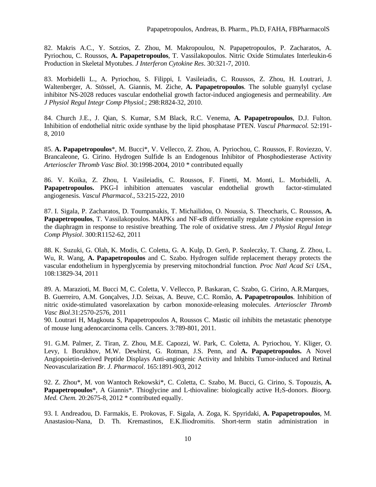82. Makris A.C., Y. Sotzios, Z. Zhou, M. Makropoulou, N. Papapetropoulos, P. Zacharatos, A. Pyriochou, C. Roussos, **A. Papapetropoulos**, T. Vassilakopoulos. Nitric Oxide Stimulates Interleukin-6 Production in Skeletal Myotubes. *J Interferon Cytokine Res*. 30:321-7, 2010.

83. Morbidelli L., A. Pyriochou, S. Filippi, I. Vasileiadis, C. Roussos, Z. Zhou, H. Loutrari, J. Waltenberger, A. Stössel, A. Giannis, M. Ziche, **A. Papapetropoulos**. The soluble guanylyl cyclase inhibitor NS-2028 reduces vascular endothelial growth factor-induced angiogenesis and permeability. *Am J Physiol Regul Integr Comp Physiol.*; 298:R824-32, 2010.

84. Church J.E., J. Qian, S. Kumar, S.M Black, R.C. Venema, **A. Papapetropoulos**, D.J. Fulton. Inhibition of endothelial nitric oxide synthase by the lipid phosphatase PTEN. *Vascul Pharmacol.* 52:191- 8, 2010

85. **A. Papapetropoulos**\*, M. Bucci\*, V. Vellecco, Z. Zhou, A. Pyriochou, C. Roussos, F. Roviezzo, V. Brancaleone, G. Cirino. Hydrogen Sulfide Is an Endogenous Inhibitor of Phosphodiesterase Activity *Arterioscler Thromb Vasc Biol*. 30:1998-2004, 2010 \* contributed equally

86. V. Koika, Z. Zhou, I. Vasileiadis, C. Roussos, F. Finetti, M. Monti, L. Morbidelli, A. **Papapetropoulos.** PKG-I inhibition attenuates vascular endothelial growth factor-stimulated angiogenesis. *Vascul Pharmacol*., 53:215-222, 2010

87. I. Sigala, P. Zacharatos, D. Toumpanakis, T. Michailidou, O. Noussia, S. Theocharis, C. Roussos, **A. Papapetropoulos**, T. Vassilakopoulos. MAPKs and NF-κB differentially regulate cytokine expression in the diaphragm in response to resistive breathing. The role of oxidative stress. *Am J Physiol Regul Integr Comp Physiol*. 300:R1152-62, 2011

88. K. Suzuki, G. Olah, K. Modis, C. Coletta, G. A. Kulp, D. Gerö, P. Szoleczky, T. Chang, Z. Zhou, L. Wu, R. Wang, **A. Papapetropoulos** and C. Szabo. Hydrogen sulfide replacement therapy protects the vascular endothelium in hyperglycemia by preserving mitochondrial function*. Proc Natl Acad Sci USA*., 108:13829-34, 2011

89. A. Marazioti, M. Bucci M, C. Coletta, V. Vellecco, P. Baskaran, C. Szabo, G. Cirino, A.R.Marques, B. Guerreiro, A.M. Gonçalves, J.D. Seixas, A. Beuve, C.C. Romão, **A. Papapetropoulos**. Inhibition of nitric oxide-stimulated vasorelaxation by carbon monoxide-releasing molecules. *Arterioscler Thromb Vasc Biol*.31:2570-2576, 2011

90. Loutrari H, Magkouta S, Papapetropoulos A, Roussos C. Mastic oil inhibits the metastatic phenotype of mouse lung adenocarcinoma cells. Cancers. 3:789-801, 2011.

91. G.M. Palmer, Z. Tiran, Z. Zhou, M.E. Capozzi, W. Park, C. Coletta, A. Pyriochou, Y. Kliger, O. Levy, I. Borukhov, M.W. Dewhirst, G. Rotman, J.S. Penn, and **A. Papapetropoulos.** A Novel Angiopoietin-derived Peptide Displays Anti-angiogenic Activity and Inhibits Tumor-induced and Retinal Neovascularization *Br. J. Pharmacol*. 165:1891-903, 2012

92. Z. Zhou\*, M. von Wantoch Rekowski\*, C. Coletta, C. Szabo, M. Bucci, G. Cirino, S. Topouzis, **A. Papapetropoulos**\*, A Giannis\*. Thioglycine and L-thiovaline: biologically active H2S-donors. *Bioorg. Med. Chem.* 20:2675-8, 2012 \* contributed equally.

93. Ι. Andreadou, D. Farmakis, Ε. Prokovas, F. Sigala, Α. Zoga, K. Spyridaki, **A. Papapetropoulos**, Μ. Anastasiou-Nana, D. Th. Kremastinos, Ε.Κ.Iliodromitis. Short-term statin administration in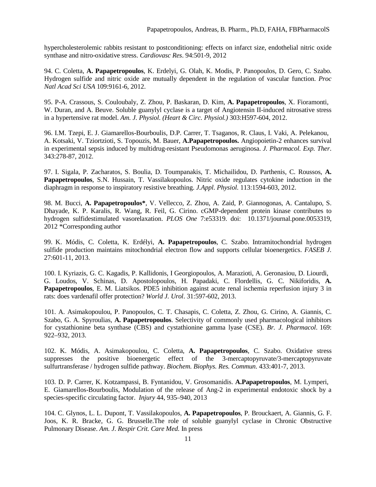hypercholesterolemic rabbits resistant to postconditioning: effects on infarct size, endothelial nitric oxide synthase and nitro-oxidative stress. *Cardiovasc Res*. 94:501-9, 2012

94. C. Coletta, **A. Papapetropoulos**, K. Erdelyi, G. Olah, K. Modis, P. Panopoulos, D. Gero, C. Szabo. Hydrogen sulfide and nitric oxide are mutually dependent in the regulation of vascular function. *Proc Natl Acad Sci USA* 109:9161-6, 2012.

95. P-A. Crassous, S. Couloubaly, Z. Zhou, P. Baskaran, D. Kim, **A. Papapetropoulos**, X. Fioramonti, W. Duran, and A. Beuve. Soluble guanylyl cyclase is a target of Angiotensin II-induced nitrosative stress in a hypertensive rat model. *Am. J. Physiol. (Heart & Circ. Physiol.)* 303:H597-604, 2012.

96. I.M. Tzepi, E. J. Giamarellos-Bourboulis, D.P. Carrer, T. Tsaganos, R. Claus, I. Vaki, A. Pelekanou, A. Kotsaki, V. Tziortzioti, S. Topouzis, M. Bauer, **A.Papapetropoulos.** Angiopoietin-2 enhances survival in experimental sepsis induced by multidrug-resistant Pseudomonas aeruginosa. *J. Pharmacol. Exp. Ther*. 343:278-87, 2012.

97. I. Sigala, P. Zacharatos, S. Boulia, D. Toumpanakis, T. Michailidou, D. Parthenis, C. Roussos, **A. Papapetropoulos**, S.N. Hussain, T. Vassilakopoulos. Nitric oxide regulates cytokine induction in the diaphragm in response to inspiratory resistive breathing. *J.Appl. Physiol*. 113:1594-603, 2012.

98. M. Bucci, **A. Papapetropoulos\***, V. Vellecco, Z. Zhou, A. Zaid, P. Giannogonas, A. Cantalupo, S. Dhayade, K. P. Karalis, R. Wang, R. Feil, G. Cirino. cGMP-dependent protein kinase contributes to hydrogen sulfidestimulated vasorelaxation. *PLOS One* 7:e53319. doi: 10.1371/journal.pone.0053319, 2012 \*Corresponding author

99. K. Módis, C. Coletta, K. Erdélyi, **A. Papapetropoulos**, C. Szabo. Intramitochondrial hydrogen sulfide production maintains mitochondrial electron flow and supports cellular bioenergetics. *FASEB J*. 27:601-11, 2013.

100. I. Kyriazis, G. C. Kagadis, P. Kallidonis, I Georgiopoulos, A. Marazioti, A. Geronasiou, D. Liourdi, G. Loudos, V. Schinas, D. Apostolopoulos, H. Papadaki, C. Flordellis, G. C. Nikiforidis, **A. Papapetropoulos**, E. M. Liatsikos. PDE5 inhibition against acute renal ischemia reperfusion injury 3 in rats: does vardenafil offer protection? *World J. Urol*. 31:597-602, 2013.

101. A. Asimakopoulou, P. Panopoulos, C. T. Chasapis, C. Coletta, Z. Zhou, G. Cirino, A. Giannis, C. Szabo, G. A. Spyroulias, **A. Papapetropoulos**. Selectivity of commonly used pharmacological inhibitors for cystathionine beta synthase (CBS) and cystathionine gamma lyase (CSE). *Br. J. Pharmacol*. 169: 922–932, 2013.

102. K. Módis, A. Asimakopoulou, C. Coletta, **A. Papapetropoulos**, C. Szabo. Oxidative stress suppresses the positive bioenergetic effect of the 3-mercaptopyruvate/3-mercaptopyruvate sulfurtransferase / hydrogen sulfide pathway. *Biochem. Biophys. Res. Commun*. 433:401-7, 2013.

103. D. P. Carrer, K. Kotzampassi, B. Fyntanidou, V. Grosomanidis. **A.Papapetropoulos**, M. Lymperi, E. Giamarellos-Bourboulis, Modulation of the release of Ang-2 in experimental endotoxic shock by a species-specific circulating factor. *Injury* 44, 935–940, 2013

104. C. Glynos, L. L. Dupont, T. Vassilakopoulos, **A. Papapetropoulos**, P. Brouckaert, A. Giannis, G. F. Joos, K. R. Bracke, G. G. Brusselle.The role of soluble guanylyl cyclase in Chronic Obstructive Pulmonary Disease. *Am. J. Respir Crit. Care Med.* In press